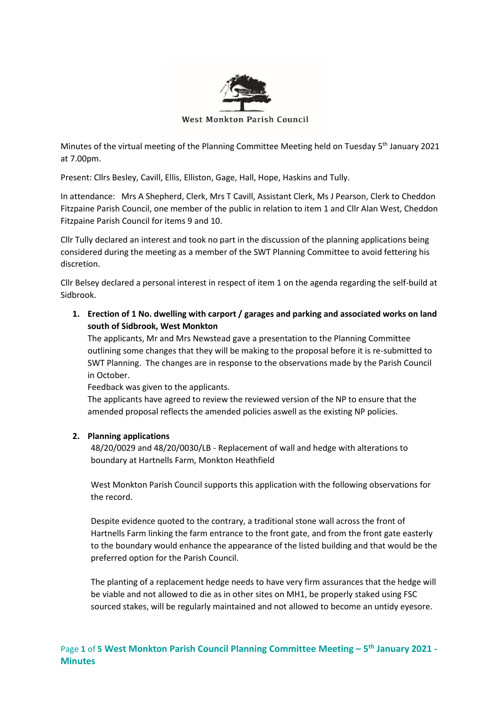

West Monkton Parish Council

Minutes of the virtual meeting of the Planning Committee Meeting held on Tuesday 5<sup>th</sup> January 2021 at 7.00pm.

Present: Cllrs Besley, Cavill, Ellis, Elliston, Gage, Hall, Hope, Haskins and Tully.

In attendance: Mrs A Shepherd, Clerk, Mrs T Cavill, Assistant Clerk, Ms J Pearson, Clerk to Cheddon Fitzpaine Parish Council, one member of the public in relation to item 1 and Cllr Alan West, Cheddon Fitzpaine Parish Council for items 9 and 10.

Cllr Tully declared an interest and took no part in the discussion of the planning applications being considered during the meeting as a member of the SWT Planning Committee to avoid fettering his discretion.

Cllr Belsey declared a personal interest in respect of item 1 on the agenda regarding the self-build at Sidbrook.

**1. Erection of 1 No. dwelling with carport / garages and parking and associated works on land south of Sidbrook, West Monkton**

The applicants, Mr and Mrs Newstead gave a presentation to the Planning Committee outlining some changes that they will be making to the proposal before it is re-submitted to SWT Planning. The changes are in response to the observations made by the Parish Council in October.

Feedback was given to the applicants.

The applicants have agreed to review the reviewed version of the NP to ensure that the amended proposal reflects the amended policies aswell as the existing NP policies.

### **2. Planning applications**

48/20/0029 and 48/20/0030/LB - Replacement of wall and hedge with alterations to boundary at Hartnells Farm, Monkton Heathfield

West Monkton Parish Council supports this application with the following observations for the record.

Despite evidence quoted to the contrary, a traditional stone wall across the front of Hartnells Farm linking the farm entrance to the front gate, and from the front gate easterly to the boundary would enhance the appearance of the listed building and that would be the preferred option for the Parish Council.

The planting of a replacement hedge needs to have very firm assurances that the hedge will be viable and not allowed to die as in other sites on MH1, be properly staked using FSC sourced stakes, will be regularly maintained and not allowed to become an untidy eyesore.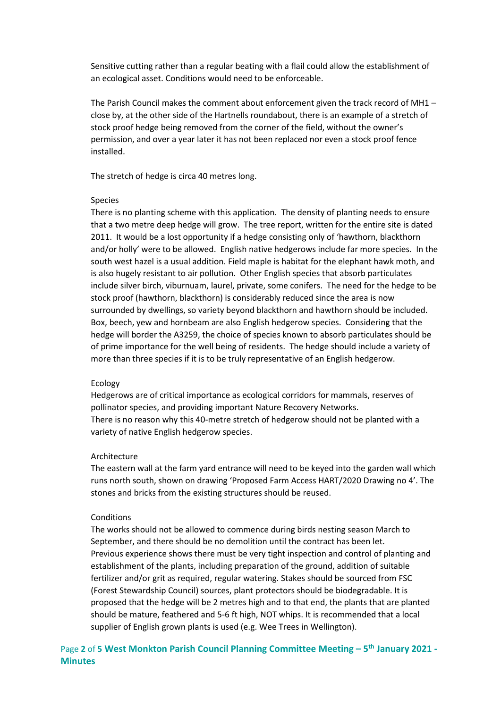Sensitive cutting rather than a regular beating with a flail could allow the establishment of an ecological asset. Conditions would need to be enforceable.

The Parish Council makes the comment about enforcement given the track record of MH1 – close by, at the other side of the Hartnells roundabout, there is an example of a stretch of stock proof hedge being removed from the corner of the field, without the owner's permission, and over a year later it has not been replaced nor even a stock proof fence installed.

The stretch of hedge is circa 40 metres long.

#### Species

There is no planting scheme with this application. The density of planting needs to ensure that a two metre deep hedge will grow. The tree report, written for the entire site is dated 2011. It would be a lost opportunity if a hedge consisting only of 'hawthorn, blackthorn and/or holly' were to be allowed. English native hedgerows include far more species. In the south west hazel is a usual addition. Field maple is habitat for the elephant hawk moth, and is also hugely resistant to air pollution. Other English species that absorb particulates include silver birch, viburnuam, laurel, private, some conifers. The need for the hedge to be stock proof (hawthorn, blackthorn) is considerably reduced since the area is now surrounded by dwellings, so variety beyond blackthorn and hawthorn should be included. Box, beech, yew and hornbeam are also English hedgerow species. Considering that the hedge will border the A3259, the choice of species known to absorb particulates should be of prime importance for the well being of residents. The hedge should include a variety of more than three species if it is to be truly representative of an English hedgerow.

#### Ecology

Hedgerows are of critical importance as ecological corridors for mammals, reserves of pollinator species, and providing important Nature Recovery Networks. There is no reason why this 40-metre stretch of hedgerow should not be planted with a variety of native English hedgerow species.

#### Architecture

The eastern wall at the farm yard entrance will need to be keyed into the garden wall which runs north south, shown on drawing 'Proposed Farm Access HART/2020 Drawing no 4'. The stones and bricks from the existing structures should be reused.

#### **Conditions**

The works should not be allowed to commence during birds nesting season March to September, and there should be no demolition until the contract has been let. Previous experience shows there must be very tight inspection and control of planting and establishment of the plants, including preparation of the ground, addition of suitable fertilizer and/or grit as required, regular watering. Stakes should be sourced from FSC (Forest Stewardship Council) sources, plant protectors should be biodegradable. It is proposed that the hedge will be 2 metres high and to that end, the plants that are planted should be mature, feathered and 5-6 ft high, NOT whips. It is recommended that a local supplier of English grown plants is used (e.g. Wee Trees in Wellington).

Page 2 of 5 West Monkton Parish Council Planning Committee Meeting - 5<sup>th</sup> January 2021 -**Minutes**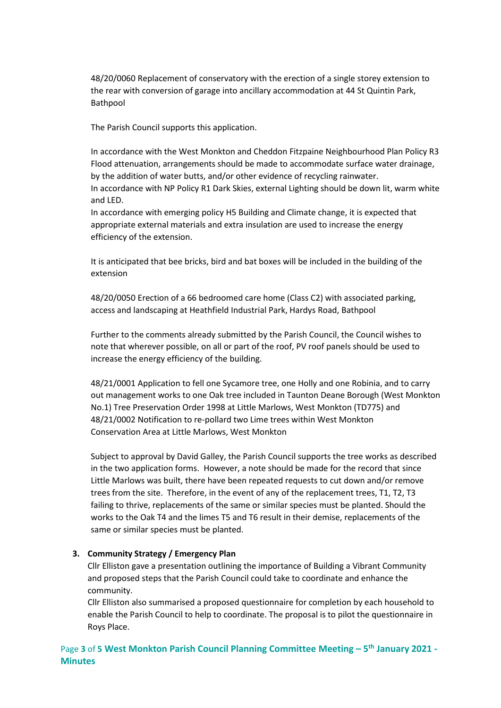48/20/0060 Replacement of conservatory with the erection of a single storey extension to the rear with conversion of garage into ancillary accommodation at 44 St Quintin Park, Bathpool

The Parish Council supports this application.

In accordance with the West Monkton and Cheddon Fitzpaine Neighbourhood Plan Policy R3 Flood attenuation, arrangements should be made to accommodate surface water drainage, by the addition of water butts, and/or other evidence of recycling rainwater. In accordance with NP Policy R1 Dark Skies, external Lighting should be down lit, warm white and LED.

In accordance with emerging policy H5 Building and Climate change, it is expected that appropriate external materials and extra insulation are used to increase the energy efficiency of the extension.

It is anticipated that bee bricks, bird and bat boxes will be included in the building of the extension

48/20/0050 Erection of a 66 bedroomed care home (Class C2) with associated parking, access and landscaping at Heathfield Industrial Park, Hardys Road, Bathpool

Further to the comments already submitted by the Parish Council, the Council wishes to note that wherever possible, on all or part of the roof, PV roof panels should be used to increase the energy efficiency of the building.

48/21/0001 Application to fell one Sycamore tree, one Holly and one Robinia, and to carry out management works to one Oak tree included in Taunton Deane Borough (West Monkton No.1) Tree Preservation Order 1998 at Little Marlows, West Monkton (TD775) and 48/21/0002 Notification to re-pollard two Lime trees within West Monkton Conservation Area at Little Marlows, West Monkton

Subject to approval by David Galley, the Parish Council supports the tree works as described in the two application forms. However, a note should be made for the record that since Little Marlows was built, there have been repeated requests to cut down and/or remove trees from the site. Therefore, in the event of any of the replacement trees, T1, T2, T3 failing to thrive, replacements of the same or similar species must be planted. Should the works to the Oak T4 and the limes T5 and T6 result in their demise, replacements of the same or similar species must be planted.

# **3. Community Strategy / Emergency Plan**

Cllr Elliston gave a presentation outlining the importance of Building a Vibrant Community and proposed steps that the Parish Council could take to coordinate and enhance the community.

Cllr Elliston also summarised a proposed questionnaire for completion by each household to enable the Parish Council to help to coordinate. The proposal is to pilot the questionnaire in Roys Place.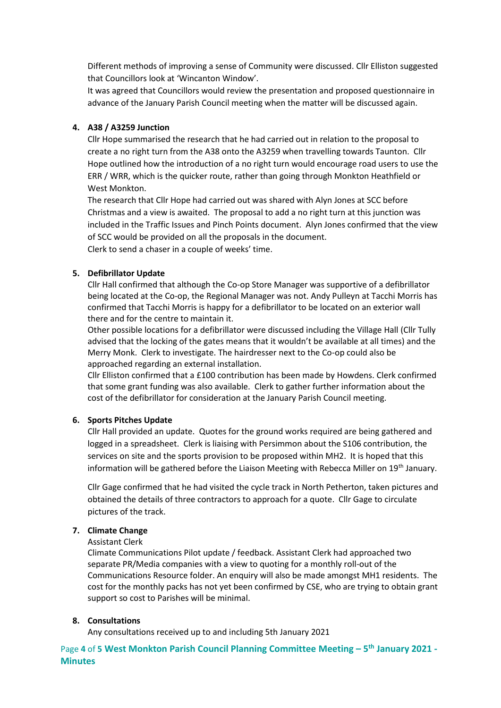Different methods of improving a sense of Community were discussed. Cllr Elliston suggested that Councillors look at 'Wincanton Window'.

It was agreed that Councillors would review the presentation and proposed questionnaire in advance of the January Parish Council meeting when the matter will be discussed again.

## **4. A38 / A3259 Junction**

Cllr Hope summarised the research that he had carried out in relation to the proposal to create a no right turn from the A38 onto the A3259 when travelling towards Taunton. Cllr Hope outlined how the introduction of a no right turn would encourage road users to use the ERR / WRR, which is the quicker route, rather than going through Monkton Heathfield or West Monkton.

The research that Cllr Hope had carried out was shared with Alyn Jones at SCC before Christmas and a view is awaited. The proposal to add a no right turn at this junction was included in the Traffic Issues and Pinch Points document. Alyn Jones confirmed that the view of SCC would be provided on all the proposals in the document. Clerk to send a chaser in a couple of weeks' time.

## **5. Defibrillator Update**

Cllr Hall confirmed that although the Co-op Store Manager was supportive of a defibrillator being located at the Co-op, the Regional Manager was not. Andy Pulleyn at Tacchi Morris has confirmed that Tacchi Morris is happy for a defibrillator to be located on an exterior wall there and for the centre to maintain it.

Other possible locations for a defibrillator were discussed including the Village Hall (Cllr Tully advised that the locking of the gates means that it wouldn't be available at all times) and the Merry Monk. Clerk to investigate. The hairdresser next to the Co-op could also be approached regarding an external installation.

Cllr Elliston confirmed that a £100 contribution has been made by Howdens. Clerk confirmed that some grant funding was also available. Clerk to gather further information about the cost of the defibrillator for consideration at the January Parish Council meeting.

### **6. Sports Pitches Update**

Cllr Hall provided an update. Quotes for the ground works required are being gathered and logged in a spreadsheet. Clerk is liaising with Persimmon about the S106 contribution, the services on site and the sports provision to be proposed within MH2. It is hoped that this information will be gathered before the Liaison Meeting with Rebecca Miller on  $19<sup>th</sup>$  January.

Cllr Gage confirmed that he had visited the cycle track in North Petherton, taken pictures and obtained the details of three contractors to approach for a quote. Cllr Gage to circulate pictures of the track.

# **7. Climate Change**

### Assistant Clerk

Climate Communications Pilot update / feedback. Assistant Clerk had approached two separate PR/Media companies with a view to quoting for a monthly roll-out of the Communications Resource folder. An enquiry will also be made amongst MH1 residents. The cost for the monthly packs has not yet been confirmed by CSE, who are trying to obtain grant support so cost to Parishes will be minimal.

### **8. Consultations**

Any consultations received up to and including 5th January 2021

Page 4 of 5 West Monkton Parish Council Planning Committee Meeting - 5<sup>th</sup> January 2021 -**Minutes**